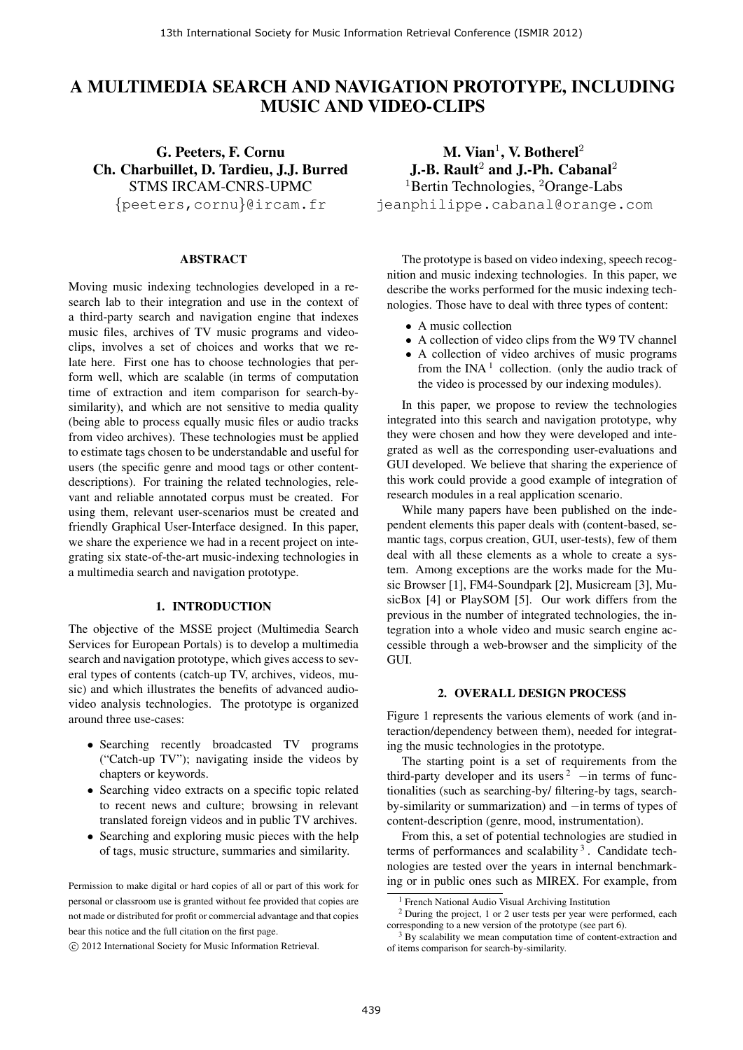# A MULTIMEDIA SEARCH AND NAVIGATION PROTOTYPE, INCLUDING MUSIC AND VIDEO-CLIPS

G. Peeters, F. Cornu Ch. Charbuillet, D. Tardieu, J.J. Burred STMS IRCAM-CNRS-UPMC {peeters,cornu}@ircam.fr

# ABSTRACT

Moving music indexing technologies developed in a research lab to their integration and use in the context of a third-party search and navigation engine that indexes music files, archives of TV music programs and videoclips, involves a set of choices and works that we relate here. First one has to choose technologies that perform well, which are scalable (in terms of computation time of extraction and item comparison for search-bysimilarity), and which are not sensitive to media quality (being able to process equally music files or audio tracks from video archives). These technologies must be applied to estimate tags chosen to be understandable and useful for users (the specific genre and mood tags or other contentdescriptions). For training the related technologies, relevant and reliable annotated corpus must be created. For using them, relevant user-scenarios must be created and friendly Graphical User-Interface designed. In this paper, we share the experience we had in a recent project on integrating six state-of-the-art music-indexing technologies in a multimedia search and navigation prototype.

### 1. INTRODUCTION

The objective of the MSSE project (Multimedia Search Services for European Portals) is to develop a multimedia search and navigation prototype, which gives access to several types of contents (catch-up TV, archives, videos, music) and which illustrates the benefits of advanced audiovideo analysis technologies. The prototype is organized around three use-cases:

- Searching recently broadcasted TV programs ("Catch-up TV"); navigating inside the videos by chapters or keywords.
- Searching video extracts on a specific topic related to recent news and culture; browsing in relevant translated foreign videos and in public TV archives.
- Searching and exploring music pieces with the help of tags, music structure, summaries and similarity.

c 2012 International Society for Music Information Retrieval.

 $M.$  Vian<sup>1</sup>, V. Botherel<sup>2</sup>  $J.-B.$  Rault<sup>2</sup> and  $J.-Ph.$  Cabanal<sup>2</sup> <sup>1</sup>Bertin Technologies, <sup>2</sup>Orange-Labs jeanphilippe.cabanal@orange.com

The prototype is based on video indexing, speech recognition and music indexing technologies. In this paper, we describe the works performed for the music indexing technologies. Those have to deal with three types of content:

- A music collection
- A collection of video clips from the W9 TV channel
- A collection of video archives of music programs from the INA $<sup>1</sup>$  collection. (only the audio track of</sup> the video is processed by our indexing modules).

In this paper, we propose to review the technologies integrated into this search and navigation prototype, why they were chosen and how they were developed and integrated as well as the corresponding user-evaluations and GUI developed. We believe that sharing the experience of this work could provide a good example of integration of research modules in a real application scenario.

While many papers have been published on the independent elements this paper deals with (content-based, semantic tags, corpus creation, GUI, user-tests), few of them deal with all these elements as a whole to create a system. Among exceptions are the works made for the Music Browser [1], FM4-Soundpark [2], Musicream [3], MusicBox [4] or PlaySOM [5]. Our work differs from the previous in the number of integrated technologies, the integration into a whole video and music search engine accessible through a web-browser and the simplicity of the GUI.

### 2. OVERALL DESIGN PROCESS

Figure 1 represents the various elements of work (and interaction/dependency between them), needed for integrating the music technologies in the prototype.

The starting point is a set of requirements from the third-party developer and its users  $2$  –in terms of functionalities (such as searching-by/ filtering-by tags, searchby-similarity or summarization) and −in terms of types of content-description (genre, mood, instrumentation).

From this, a set of potential technologies are studied in terms of performances and scalability<sup>3</sup>. Candidate technologies are tested over the years in internal benchmarking or in public ones such as MIREX. For example, from

Permission to make digital or hard copies of all or part of this work for personal or classroom use is granted without fee provided that copies are not made or distributed for profit or commercial advantage and that copies bear this notice and the full citation on the first page.

<sup>1</sup> French National Audio Visual Archiving Institution

 $2$  During the project, 1 or 2 user tests per year were performed, each corresponding to a new version of the prototype (see part 6).

<sup>&</sup>lt;sup>3</sup> By scalability we mean computation time of content-extraction and of items comparison for search-by-similarity.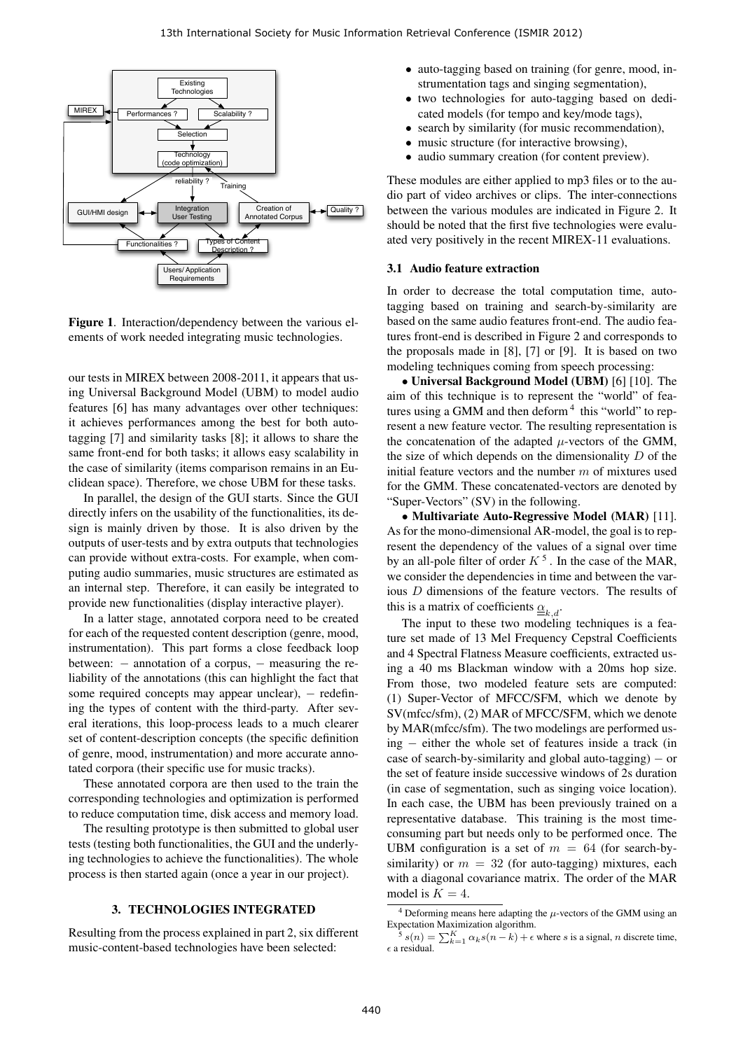

Figure 1. Interaction/dependency between the various elements of work needed integrating music technologies.

our tests in MIREX between 2008-2011, it appears that using Universal Background Model (UBM) to model audio features [6] has many advantages over other techniques: it achieves performances among the best for both autotagging [7] and similarity tasks [8]; it allows to share the same front-end for both tasks; it allows easy scalability in the case of similarity (items comparison remains in an Euclidean space). Therefore, we chose UBM for these tasks.

In parallel, the design of the GUI starts. Since the GUI directly infers on the usability of the functionalities, its design is mainly driven by those. It is also driven by the outputs of user-tests and by extra outputs that technologies can provide without extra-costs. For example, when computing audio summaries, music structures are estimated as an internal step. Therefore, it can easily be integrated to provide new functionalities (display interactive player).

In a latter stage, annotated corpora need to be created for each of the requested content description (genre, mood, instrumentation). This part forms a close feedback loop between:  $-$  annotation of a corpus,  $-$  measuring the reliability of the annotations (this can highlight the fact that some required concepts may appear unclear),  $-$  redefining the types of content with the third-party. After several iterations, this loop-process leads to a much clearer set of content-description concepts (the specific definition of genre, mood, instrumentation) and more accurate annotated corpora (their specific use for music tracks).

These annotated corpora are then used to the train the corresponding technologies and optimization is performed to reduce computation time, disk access and memory load.

The resulting prototype is then submitted to global user tests (testing both functionalities, the GUI and the underlying technologies to achieve the functionalities). The whole process is then started again (once a year in our project).

#### 3. TECHNOLOGIES INTEGRATED

Resulting from the process explained in part 2, six different music-content-based technologies have been selected:

- auto-tagging based on training (for genre, mood, instrumentation tags and singing segmentation),
- two technologies for auto-tagging based on dedicated models (for tempo and key/mode tags),
- search by similarity (for music recommendation),
- music structure (for interactive browsing),
- audio summary creation (for content preview).

These modules are either applied to mp3 files or to the audio part of video archives or clips. The inter-connections between the various modules are indicated in Figure 2. It should be noted that the first five technologies were evaluated very positively in the recent MIREX-11 evaluations.

### 3.1 Audio feature extraction

In order to decrease the total computation time, autotagging based on training and search-by-similarity are based on the same audio features front-end. The audio features front-end is described in Figure 2 and corresponds to the proposals made in [8], [7] or [9]. It is based on two modeling techniques coming from speech processing:

• Universal Background Model (UBM) [6] [10]. The aim of this technique is to represent the "world" of features using a GMM and then deform<sup>4</sup> this "world" to represent a new feature vector. The resulting representation is the concatenation of the adapted  $\mu$ -vectors of the GMM, the size of which depends on the dimensionality  $D$  of the initial feature vectors and the number  $m$  of mixtures used for the GMM. These concatenated-vectors are denoted by "Super-Vectors" (SV) in the following.

• Multivariate Auto-Regressive Model (MAR) [11]. As for the mono-dimensional AR-model, the goal is to represent the dependency of the values of a signal over time by an all-pole filter of order  $K^5$ . In the case of the MAR, we consider the dependencies in time and between the various D dimensions of the feature vectors. The results of this is a matrix of coefficients  $\underline{\underline{\alpha}}_{k,d}$ .

The input to these two modeling techniques is a feature set made of 13 Mel Frequency Cepstral Coefficients and 4 Spectral Flatness Measure coefficients, extracted using a 40 ms Blackman window with a 20ms hop size. From those, two modeled feature sets are computed: (1) Super-Vector of MFCC/SFM, which we denote by SV(mfcc/sfm), (2) MAR of MFCC/SFM, which we denote by MAR(mfcc/sfm). The two modelings are performed using − either the whole set of features inside a track (in case of search-by-similarity and global auto-tagging)  $-$  or the set of feature inside successive windows of 2s duration (in case of segmentation, such as singing voice location). In each case, the UBM has been previously trained on a representative database. This training is the most timeconsuming part but needs only to be performed once. The UBM configuration is a set of  $m = 64$  (for search-bysimilarity) or  $m = 32$  (for auto-tagging) mixtures, each with a diagonal covariance matrix. The order of the MAR model is  $K = 4$ .

 $4$  Deforming means here adapting the  $\mu$ -vectors of the GMM using an Expectation Maximization algorithm.

 $S(s(n) = \sum_{k=1}^{K} \alpha_k s(n-k) + \epsilon$  where s is a signal, n discrete time,  $\epsilon$  a residual.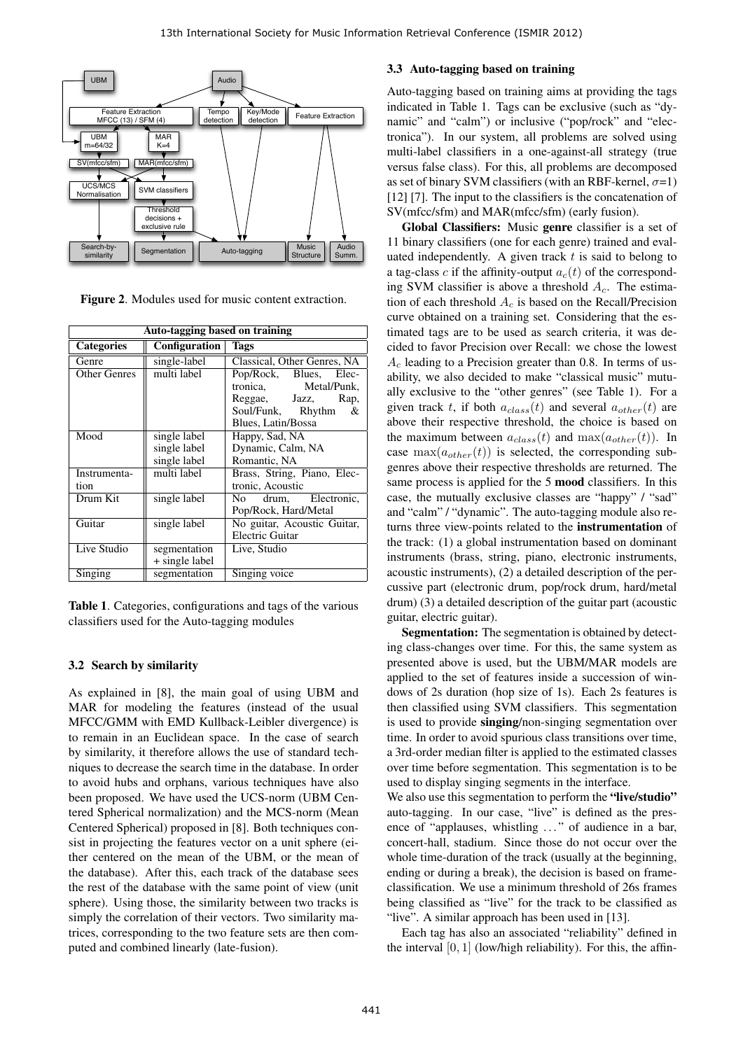

Figure 2. Modules used for music content extraction.

| <b>Auto-tagging based on training</b> |                |                             |  |  |  |  |  |
|---------------------------------------|----------------|-----------------------------|--|--|--|--|--|
| <b>Categories</b>                     | Configuration  | <b>Tags</b>                 |  |  |  |  |  |
| Genre                                 | single-label   | Classical, Other Genres, NA |  |  |  |  |  |
| <b>Other Genres</b>                   | multi label    | Pop/Rock, Blues, Elec-      |  |  |  |  |  |
|                                       |                | tronica, Metal/Punk,        |  |  |  |  |  |
|                                       |                | Reggae, Jazz, Rap,          |  |  |  |  |  |
|                                       |                | Soul/Funk, Rhythm<br>&      |  |  |  |  |  |
|                                       |                | Blues, Latin/Bossa          |  |  |  |  |  |
| Mood                                  | single label   | Happy, Sad, NA              |  |  |  |  |  |
|                                       | single label   | Dynamic, Calm, NA           |  |  |  |  |  |
|                                       | single label   | Romantic, NA                |  |  |  |  |  |
| Instrumenta-                          | multi label    | Brass, String, Piano, Elec- |  |  |  |  |  |
| tion                                  |                | tronic, Acoustic            |  |  |  |  |  |
| Drum Kit                              | single label   | No drum, Electronic,        |  |  |  |  |  |
|                                       |                | Pop/Rock, Hard/Metal        |  |  |  |  |  |
| Guitar                                | single label   | No guitar, Acoustic Guitar, |  |  |  |  |  |
|                                       |                | Electric Guitar             |  |  |  |  |  |
| Live Studio                           | segmentation   | Live, Studio                |  |  |  |  |  |
|                                       | + single label |                             |  |  |  |  |  |
| Singing                               | segmentation   | Singing voice               |  |  |  |  |  |

Table 1. Categories, configurations and tags of the various classifiers used for the Auto-tagging modules

#### 3.2 Search by similarity

As explained in [8], the main goal of using UBM and MAR for modeling the features (instead of the usual MFCC/GMM with EMD Kullback-Leibler divergence) is to remain in an Euclidean space. In the case of search by similarity, it therefore allows the use of standard techniques to decrease the search time in the database. In order to avoid hubs and orphans, various techniques have also been proposed. We have used the UCS-norm (UBM Centered Spherical normalization) and the MCS-norm (Mean Centered Spherical) proposed in [8]. Both techniques consist in projecting the features vector on a unit sphere (either centered on the mean of the UBM, or the mean of the database). After this, each track of the database sees the rest of the database with the same point of view (unit sphere). Using those, the similarity between two tracks is simply the correlation of their vectors. Two similarity matrices, corresponding to the two feature sets are then computed and combined linearly (late-fusion).

#### 3.3 Auto-tagging based on training

Auto-tagging based on training aims at providing the tags indicated in Table 1. Tags can be exclusive (such as "dynamic" and "calm") or inclusive ("pop/rock" and "electronica"). In our system, all problems are solved using multi-label classifiers in a one-against-all strategy (true versus false class). For this, all problems are decomposed as set of binary SVM classifiers (with an RBF-kernel,  $\sigma$ =1) [12] [7]. The input to the classifiers is the concatenation of SV(mfcc/sfm) and MAR(mfcc/sfm) (early fusion).

Global Classifiers: Music genre classifier is a set of 11 binary classifiers (one for each genre) trained and evaluated independently. A given track  $t$  is said to belong to a tag-class c if the affinity-output  $a_c(t)$  of the corresponding SVM classifier is above a threshold  $A_c$ . The estimation of each threshold  $A_c$  is based on the Recall/Precision curve obtained on a training set. Considering that the estimated tags are to be used as search criteria, it was decided to favor Precision over Recall: we chose the lowest  $A_c$  leading to a Precision greater than 0.8. In terms of usability, we also decided to make "classical music" mutually exclusive to the "other genres" (see Table 1). For a given track t, if both  $a_{class}(t)$  and several  $a_{other}(t)$  are above their respective threshold, the choice is based on the maximum between  $a_{class}(t)$  and  $max(a_{other}(t))$ . In case  $max(a_{other}(t))$  is selected, the corresponding subgenres above their respective thresholds are returned. The same process is applied for the 5 mood classifiers. In this case, the mutually exclusive classes are "happy" / "sad" and "calm" / "dynamic". The auto-tagging module also returns three view-points related to the instrumentation of the track: (1) a global instrumentation based on dominant instruments (brass, string, piano, electronic instruments, acoustic instruments), (2) a detailed description of the percussive part (electronic drum, pop/rock drum, hard/metal drum) (3) a detailed description of the guitar part (acoustic guitar, electric guitar).

Segmentation: The segmentation is obtained by detecting class-changes over time. For this, the same system as presented above is used, but the UBM/MAR models are applied to the set of features inside a succession of windows of 2s duration (hop size of 1s). Each 2s features is then classified using SVM classifiers. This segmentation is used to provide **singing**/non-singing segmentation over time. In order to avoid spurious class transitions over time, a 3rd-order median filter is applied to the estimated classes over time before segmentation. This segmentation is to be used to display singing segments in the interface.

We also use this segmentation to perform the "live/studio" auto-tagging. In our case, "live" is defined as the presence of "applauses, whistling ..." of audience in a bar, concert-hall, stadium. Since those do not occur over the whole time-duration of the track (usually at the beginning, ending or during a break), the decision is based on frameclassification. We use a minimum threshold of 26s frames being classified as "live" for the track to be classified as "live". A similar approach has been used in [13].

Each tag has also an associated "reliability" defined in the interval  $[0, 1]$  (low/high reliability). For this, the affin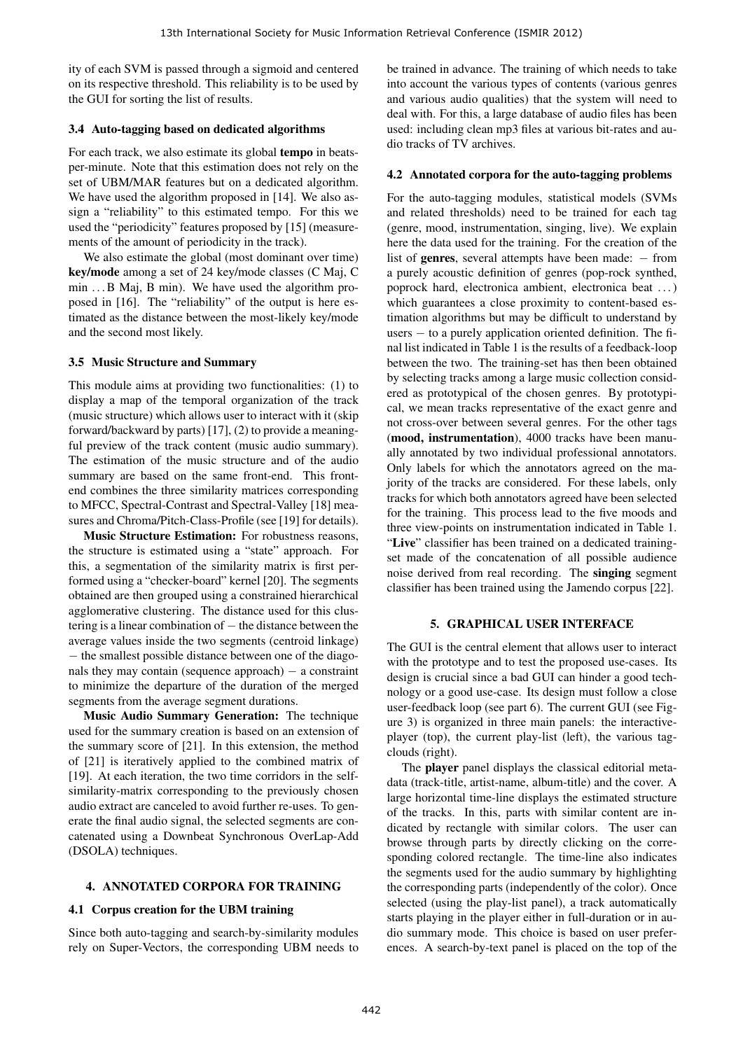ity of each SVM is passed through a sigmoid and centered on its respective threshold. This reliability is to be used by the GUI for sorting the list of results.

### 3.4 Auto-tagging based on dedicated algorithms

For each track, we also estimate its global tempo in beatsper-minute. Note that this estimation does not rely on the set of UBM/MAR features but on a dedicated algorithm. We have used the algorithm proposed in [14]. We also assign a "reliability" to this estimated tempo. For this we used the "periodicity" features proposed by [15] (measurements of the amount of periodicity in the track).

We also estimate the global (most dominant over time) key/mode among a set of 24 key/mode classes (C Maj, C min ... B Maj, B min). We have used the algorithm proposed in [16]. The "reliability" of the output is here estimated as the distance between the most-likely key/mode and the second most likely.

# 3.5 Music Structure and Summary

This module aims at providing two functionalities: (1) to display a map of the temporal organization of the track (music structure) which allows user to interact with it (skip forward/backward by parts) [17], (2) to provide a meaningful preview of the track content (music audio summary). The estimation of the music structure and of the audio summary are based on the same front-end. This frontend combines the three similarity matrices corresponding to MFCC, Spectral-Contrast and Spectral-Valley [18] measures and Chroma/Pitch-Class-Profile (see [19] for details).

Music Structure Estimation: For robustness reasons, the structure is estimated using a "state" approach. For this, a segmentation of the similarity matrix is first performed using a "checker-board" kernel [20]. The segments obtained are then grouped using a constrained hierarchical agglomerative clustering. The distance used for this clustering is a linear combination of − the distance between the average values inside the two segments (centroid linkage) − the smallest possible distance between one of the diagonals they may contain (sequence approach)  $-$  a constraint to minimize the departure of the duration of the merged segments from the average segment durations.

Music Audio Summary Generation: The technique used for the summary creation is based on an extension of the summary score of [21]. In this extension, the method of [21] is iteratively applied to the combined matrix of [19]. At each iteration, the two time corridors in the selfsimilarity-matrix corresponding to the previously chosen audio extract are canceled to avoid further re-uses. To generate the final audio signal, the selected segments are concatenated using a Downbeat Synchronous OverLap-Add (DSOLA) techniques.

# 4. ANNOTATED CORPORA FOR TRAINING

# 4.1 Corpus creation for the UBM training

Since both auto-tagging and search-by-similarity modules rely on Super-Vectors, the corresponding UBM needs to be trained in advance. The training of which needs to take into account the various types of contents (various genres and various audio qualities) that the system will need to deal with. For this, a large database of audio files has been used: including clean mp3 files at various bit-rates and audio tracks of TV archives.

# 4.2 Annotated corpora for the auto-tagging problems

For the auto-tagging modules, statistical models (SVMs and related thresholds) need to be trained for each tag (genre, mood, instrumentation, singing, live). We explain here the data used for the training. For the creation of the list of **genres**, several attempts have been made:  $-$  from a purely acoustic definition of genres (pop-rock synthed, poprock hard, electronica ambient, electronica beat . . . ) which guarantees a close proximity to content-based estimation algorithms but may be difficult to understand by users – to a purely application oriented definition. The final list indicated in Table 1 is the results of a feedback-loop between the two. The training-set has then been obtained by selecting tracks among a large music collection considered as prototypical of the chosen genres. By prototypical, we mean tracks representative of the exact genre and not cross-over between several genres. For the other tags (mood, instrumentation), 4000 tracks have been manually annotated by two individual professional annotators. Only labels for which the annotators agreed on the majority of the tracks are considered. For these labels, only tracks for which both annotators agreed have been selected for the training. This process lead to the five moods and three view-points on instrumentation indicated in Table 1. "Live" classifier has been trained on a dedicated trainingset made of the concatenation of all possible audience noise derived from real recording. The singing segment classifier has been trained using the Jamendo corpus [22].

# 5. GRAPHICAL USER INTERFACE

The GUI is the central element that allows user to interact with the prototype and to test the proposed use-cases. Its design is crucial since a bad GUI can hinder a good technology or a good use-case. Its design must follow a close user-feedback loop (see part 6). The current GUI (see Figure 3) is organized in three main panels: the interactiveplayer (top), the current play-list (left), the various tagclouds (right).

The player panel displays the classical editorial metadata (track-title, artist-name, album-title) and the cover. A large horizontal time-line displays the estimated structure of the tracks. In this, parts with similar content are indicated by rectangle with similar colors. The user can browse through parts by directly clicking on the corresponding colored rectangle. The time-line also indicates the segments used for the audio summary by highlighting the corresponding parts (independently of the color). Once selected (using the play-list panel), a track automatically starts playing in the player either in full-duration or in audio summary mode. This choice is based on user preferences. A search-by-text panel is placed on the top of the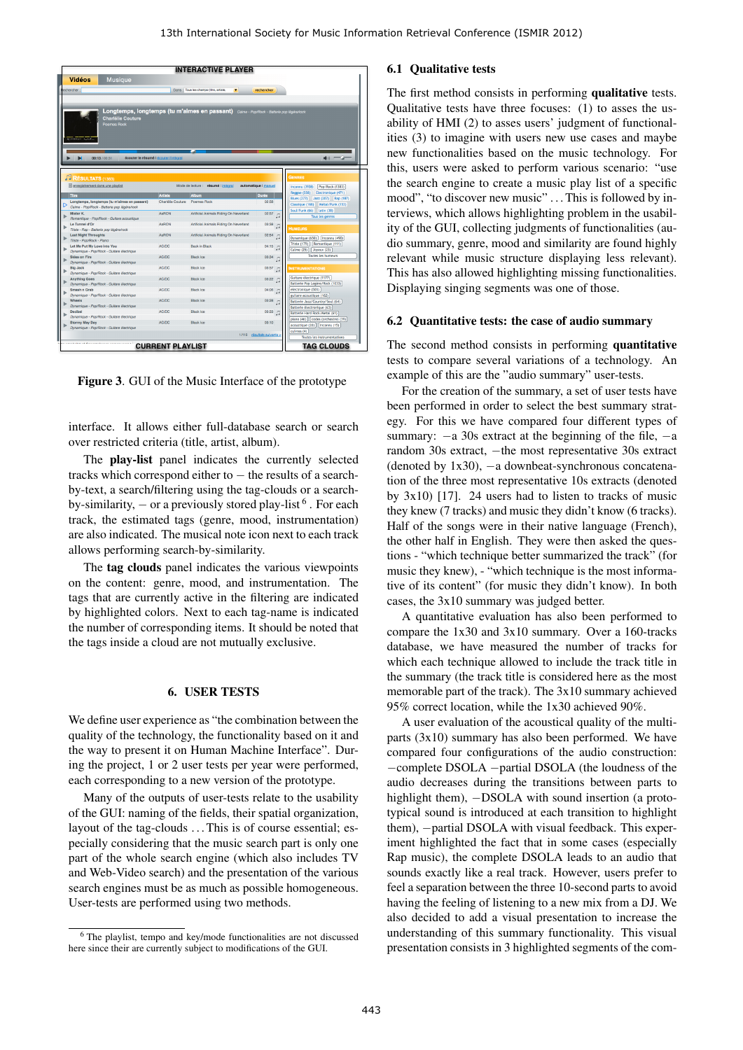| <b>INTERACTIVE PLAYER</b>                                                          |                                                                                          |                         |                                        |                      |                                                                                |  |  |  |
|------------------------------------------------------------------------------------|------------------------------------------------------------------------------------------|-------------------------|----------------------------------------|----------------------|--------------------------------------------------------------------------------|--|--|--|
|                                                                                    | <b>Vidéos</b><br><b>Musique</b>                                                          |                         |                                        |                      |                                                                                |  |  |  |
|                                                                                    | lechercher:                                                                              |                         | $\blacksquare$                         | rechercher           |                                                                                |  |  |  |
|                                                                                    | Dans : Tous les champs (titre, artiste,                                                  |                         |                                        |                      |                                                                                |  |  |  |
|                                                                                    |                                                                                          |                         |                                        |                      |                                                                                |  |  |  |
|                                                                                    | Longtemps, longtemps (tu m'aimes en passant) Calme - Pop/Rock - Batterie pop légère/rock |                         |                                        |                      |                                                                                |  |  |  |
|                                                                                    | <b>Charlélie Couture</b>                                                                 |                         |                                        |                      |                                                                                |  |  |  |
|                                                                                    | Poemes Rock                                                                              |                         |                                        |                      |                                                                                |  |  |  |
|                                                                                    |                                                                                          |                         |                                        |                      |                                                                                |  |  |  |
|                                                                                    |                                                                                          |                         |                                        |                      |                                                                                |  |  |  |
|                                                                                    |                                                                                          |                         |                                        |                      |                                                                                |  |  |  |
|                                                                                    |                                                                                          |                         |                                        |                      |                                                                                |  |  |  |
| $\bullet$ $\bullet$<br>écouter le résumé I écouter l'intégral<br>00:13 / 00:31     |                                                                                          |                         |                                        |                      |                                                                                |  |  |  |
|                                                                                    |                                                                                          |                         |                                        |                      |                                                                                |  |  |  |
|                                                                                    | <b>JE RÉSULTATS</b> (1383)                                                               |                         |                                        |                      | <b>GENRES</b>                                                                  |  |  |  |
|                                                                                    |                                                                                          |                         |                                        |                      |                                                                                |  |  |  |
|                                                                                    | enregistrement dans une playlist                                                         |                         | Mode de lecture : résumé l intégral    | automatique I manuel | Pop/Rock (1383)<br>Inconnu (3938)                                              |  |  |  |
|                                                                                    | Titre                                                                                    | <b>Artiste</b>          | Album                                  | Durée                | Reggae (558)<br>Electronique (471)                                             |  |  |  |
|                                                                                    | Longtemps, longtemps (tu m'almes en passant)                                             | Charlélie Couture       | Poemes Rock                            | 02:58                | <b>Blues (277)</b><br>Jazz (207) Rap (187)<br>Classique (166) Métal/Punk (153) |  |  |  |
|                                                                                    | Calme - Pop/Rock - Batterie pop légère/rock                                              |                         |                                        |                      | Soul/Funk (66) latin (38)                                                      |  |  |  |
|                                                                                    | Mister K.                                                                                | <b>AARON</b>            | Artificial Animals Riding On Neverland | 02:57                | <b>Tous les genres</b>                                                         |  |  |  |
|                                                                                    | Romantique - Pop/Rock - Guitare acoustique<br>Le Tunnel d'Or                             | AaRON                   | Artificial Animals Riding On Neverland | 03:38                |                                                                                |  |  |  |
|                                                                                    | Triste - Rap - Batterie pop légère/rock                                                  |                         |                                        | $\sqrt{2}$           | <b>HUMEURS</b>                                                                 |  |  |  |
|                                                                                    | <b>Last Night Throughts</b>                                                              | AARON                   | Artificial Animals Riding On Neverland | 02:54 7              |                                                                                |  |  |  |
|                                                                                    | Triste - Pop/Rock - Plano                                                                |                         |                                        |                      | Dynamique (650) [inconnu (490)]<br>Triste (179)   Romantique (111)             |  |  |  |
|                                                                                    | Let Me Put My Love Into You                                                              | AC/DC                   | <b>Back in Black</b>                   | $04:15$ $\Box$       | Calme $(25)$<br>Joyeux (23)                                                    |  |  |  |
|                                                                                    | Dynamique - Pop/Rock - Guitare électrique                                                |                         |                                        |                      | <b>Toutes les humeurs</b>                                                      |  |  |  |
|                                                                                    | Skies on Fire                                                                            | <b>AC/DC</b>            | <b>Black Ice</b>                       | 03:34<br>$\sqrt{2}$  |                                                                                |  |  |  |
|                                                                                    | Dynamique - Pop/Rock - Guitare électrique<br><b>Big Jack</b>                             | AC/DC                   | <b>Black Ice</b>                       | 03.57                | <b>INSTRUMENTATIONS</b>                                                        |  |  |  |
|                                                                                    | Dynamique - Pop/Rock - Guitare électrique                                                |                         |                                        |                      |                                                                                |  |  |  |
|                                                                                    | <b>Anything Goes</b>                                                                     | AC/DC                   | <b>Black Ice</b>                       | 03:22                | Guitare électrique (1177)                                                      |  |  |  |
|                                                                                    | Dynamique - Pop/Rock - Guitare électrique                                                |                         |                                        |                      | Batterie Pop Legère/Rock (1033)                                                |  |  |  |
|                                                                                    | Smash n Grab                                                                             | AC/DC                   | <b>Black Ice</b>                       | 04:06 门              | electronique (503)                                                             |  |  |  |
|                                                                                    | Dynamique - Pop/Rock - Guitare électrique                                                |                         |                                        |                      | guitare acoustique (162)                                                       |  |  |  |
|                                                                                    | Wheels<br>Dynamique - Pop/Rock - Guitare électrique                                      | AC/DC                   | <b>Black Ice</b>                       | 03.28                | Batterie Jazz/Country/Soul (64)                                                |  |  |  |
|                                                                                    | Decibel                                                                                  | AC/DC                   | <b>Black Ice</b>                       | 03:33 7              | Batterie électronique (63)                                                     |  |  |  |
|                                                                                    | Dynamique - Pop/Rock - Guitare électrique                                                |                         |                                        |                      | Batterie Hard Rock/Metal (61)                                                  |  |  |  |
|                                                                                    | <b>Stormy May Day</b>                                                                    | AC/DC                   | <b>Black Ice</b>                       | 03:10                | piano (46)   codes (orchestre) (39)                                            |  |  |  |
|                                                                                    | Dynamique - Pop/Rock - Guitare électrique                                                |                         |                                        |                      | acoustique (20) [inconnu (15)]                                                 |  |  |  |
| cuivres (4)<br>résultats suivants ><br>1/116<br><b>Toutes les instrumentations</b> |                                                                                          |                         |                                        |                      |                                                                                |  |  |  |
| <b>Charles last and disconsistents</b>                                             |                                                                                          |                         |                                        |                      |                                                                                |  |  |  |
|                                                                                    |                                                                                          | <b>CURRENT PLAYLIST</b> |                                        |                      | <b>TAG CLOUDS</b>                                                              |  |  |  |

Figure 3. GUI of the Music Interface of the prototype

interface. It allows either full-database search or search over restricted criteria (title, artist, album).

The play-list panel indicates the currently selected tracks which correspond either to  $-$  the results of a searchby-text, a search/filtering using the tag-clouds or a searchby-similarity,  $-$  or a previously stored play-list  $<sup>6</sup>$  . For each</sup> track, the estimated tags (genre, mood, instrumentation) are also indicated. The musical note icon next to each track allows performing search-by-similarity.

The **tag clouds** panel indicates the various viewpoints on the content: genre, mood, and instrumentation. The tags that are currently active in the filtering are indicated by highlighted colors. Next to each tag-name is indicated the number of corresponding items. It should be noted that the tags inside a cloud are not mutually exclusive.

#### 6. USER TESTS

We define user experience as "the combination between the quality of the technology, the functionality based on it and the way to present it on Human Machine Interface". During the project, 1 or 2 user tests per year were performed, each corresponding to a new version of the prototype.

Many of the outputs of user-tests relate to the usability of the GUI: naming of the fields, their spatial organization, layout of the tag-clouds ... This is of course essential; especially considering that the music search part is only one part of the whole search engine (which also includes TV and Web-Video search) and the presentation of the various search engines must be as much as possible homogeneous. User-tests are performed using two methods.

#### 6.1 Qualitative tests

The first method consists in performing qualitative tests. Qualitative tests have three focuses: (1) to asses the usability of HMI (2) to asses users' judgment of functionalities (3) to imagine with users new use cases and maybe new functionalities based on the music technology. For this, users were asked to perform various scenario: "use the search engine to create a music play list of a specific mood", "to discover new music" ... This is followed by interviews, which allows highlighting problem in the usability of the GUI, collecting judgments of functionalities (audio summary, genre, mood and similarity are found highly relevant while music structure displaying less relevant). This has also allowed highlighting missing functionalities. Displaying singing segments was one of those.

#### 6.2 Quantitative tests: the case of audio summary

The second method consists in performing quantitative tests to compare several variations of a technology. An example of this are the "audio summary" user-tests.

For the creation of the summary, a set of user tests have been performed in order to select the best summary strategy. For this we have compared four different types of summary:  $-a$  30s extract at the beginning of the file,  $-a$ random 30s extract, −the most representative 30s extract (denoted by 1x30), −a downbeat-synchronous concatenation of the three most representative 10s extracts (denoted by 3x10) [17]. 24 users had to listen to tracks of music they knew (7 tracks) and music they didn't know (6 tracks). Half of the songs were in their native language (French), the other half in English. They were then asked the questions - "which technique better summarized the track" (for music they knew), - "which technique is the most informative of its content" (for music they didn't know). In both cases, the 3x10 summary was judged better.

A quantitative evaluation has also been performed to compare the 1x30 and 3x10 summary. Over a 160-tracks database, we have measured the number of tracks for which each technique allowed to include the track title in the summary (the track title is considered here as the most memorable part of the track). The 3x10 summary achieved 95% correct location, while the 1x30 achieved 90%.

A user evaluation of the acoustical quality of the multiparts (3x10) summary has also been performed. We have compared four configurations of the audio construction: −complete DSOLA −partial DSOLA (the loudness of the audio decreases during the transitions between parts to highlight them), −DSOLA with sound insertion (a prototypical sound is introduced at each transition to highlight them), −partial DSOLA with visual feedback. This experiment highlighted the fact that in some cases (especially Rap music), the complete DSOLA leads to an audio that sounds exactly like a real track. However, users prefer to feel a separation between the three 10-second parts to avoid having the feeling of listening to a new mix from a DJ. We also decided to add a visual presentation to increase the understanding of this summary functionality. This visual presentation consists in 3 highlighted segments of the com-

<sup>6</sup> The playlist, tempo and key/mode functionalities are not discussed here since their are currently subject to modifications of the GUI.